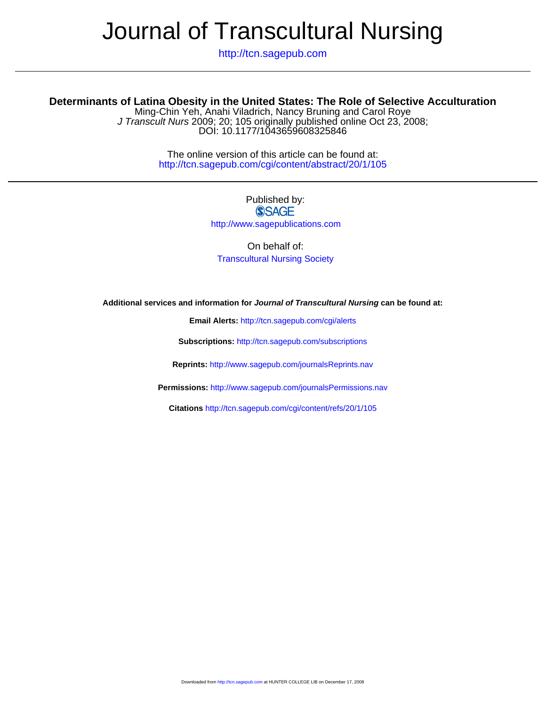# Journal of Transcultural Nursing

http://tcn.sagepub.com

#### **Determinants of Latina Obesity in the United States: The Role of Selective Acculturation**

DOI: 10.1177/1043659608325846 J Transcult Nurs 2009; 20; 105 originally published online Oct 23, 2008; Ming-Chin Yeh, Anahi Viladrich, Nancy Bruning and Carol Roye

> http://tcn.sagepub.com/cgi/content/abstract/20/1/105 The online version of this article can be found at:

> > Published by: **SSAGE** http://www.sagepublications.com

On behalf of: [Transcultural Nursing Society](http://www.tcns.org)

**Additional services and information for Journal of Transcultural Nursing can be found at:**

**Email Alerts:** <http://tcn.sagepub.com/cgi/alerts>

**Subscriptions:** <http://tcn.sagepub.com/subscriptions>

**Reprints:** <http://www.sagepub.com/journalsReprints.nav>

**Permissions:** <http://www.sagepub.com/journalsPermissions.nav>

**Citations** <http://tcn.sagepub.com/cgi/content/refs/20/1/105>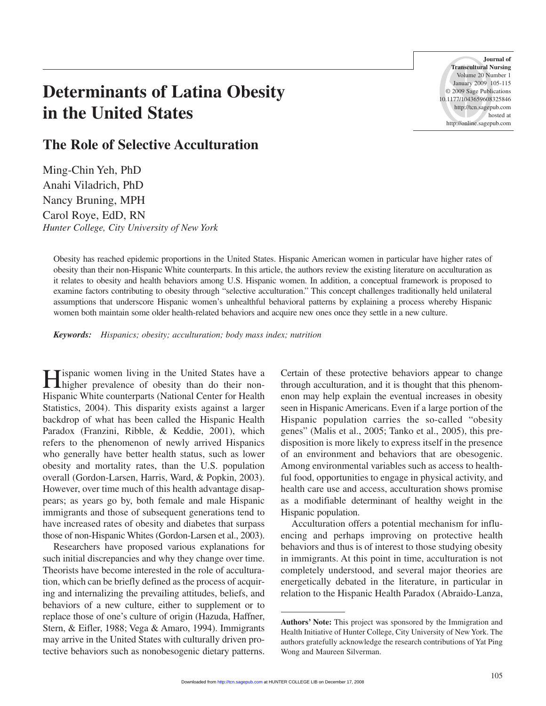## **Determinants of Latina Obesity in the United States**

### **The Role of Selective Acculturation**

Ming-Chin Yeh, PhD Anahi Viladrich, PhD Nancy Bruning, MPH Carol Roye, EdD, RN *Hunter College, City University of New York*

**Journal of Transcultural Nursing** Volume 20 Number 1 January 2009 105-115 © 2009 Sage Publications 10.1177/1043659608325846 http://tcn.sagepub.com hosted at http://online.sagepub.com

Obesity has reached epidemic proportions in the United States. Hispanic American women in particular have higher rates of obesity than their non-Hispanic White counterparts. In this article, the authors review the existing literature on acculturation as it relates to obesity and health behaviors among U.S. Hispanic women. In addition, a conceptual framework is proposed to examine factors contributing to obesity through "selective acculturation." This concept challenges traditionally held unilateral assumptions that underscore Hispanic women's unhealthful behavioral patterns by explaining a process whereby Hispanic women both maintain some older health-related behaviors and acquire new ones once they settle in a new culture.

*Keywords: Hispanics; obesity; acculturation; body mass index; nutrition*

**Tispanic women living in the United States have a** higher prevalence of obesity than do their non-Hispanic White counterparts (National Center for Health Statistics, 2004). This disparity exists against a larger backdrop of what has been called the Hispanic Health Paradox (Franzini, Ribble, & Keddie, 2001), which refers to the phenomenon of newly arrived Hispanics who generally have better health status, such as lower obesity and mortality rates, than the U.S. population overall (Gordon-Larsen, Harris, Ward, & Popkin, 2003). However, over time much of this health advantage disappears; as years go by, both female and male Hispanic immigrants and those of subsequent generations tend to have increased rates of obesity and diabetes that surpass those of non-Hispanic Whites (Gordon-Larsen et al., 2003).

Researchers have proposed various explanations for such initial discrepancies and why they change over time. Theorists have become interested in the role of acculturation, which can be briefly defined as the process of acquiring and internalizing the prevailing attitudes, beliefs, and behaviors of a new culture, either to supplement or to replace those of one's culture of origin (Hazuda, Haffner, Stern, & Eifler, 1988; Vega & Amaro, 1994). Immigrants may arrive in the United States with culturally driven protective behaviors such as nonobesogenic dietary patterns. Certain of these protective behaviors appear to change through acculturation, and it is thought that this phenomenon may help explain the eventual increases in obesity seen in Hispanic Americans. Even if a large portion of the Hispanic population carries the so-called "obesity genes" (Malis et al., 2005; Tanko et al., 2005), this predisposition is more likely to express itself in the presence of an environment and behaviors that are obesogenic. Among environmental variables such as access to healthful food, opportunities to engage in physical activity, and health care use and access, acculturation shows promise as a modifiable determinant of healthy weight in the Hispanic population.

Acculturation offers a potential mechanism for influencing and perhaps improving on protective health behaviors and thus is of interest to those studying obesity in immigrants. At this point in time, acculturation is not completely understood, and several major theories are energetically debated in the literature, in particular in relation to the Hispanic Health Paradox (Abraido-Lanza,

**Authors' Note:** This project was sponsored by the Immigration and Health Initiative of Hunter College, City University of New York. The authors gratefully acknowledge the research contributions of Yat Ping Wong and Maureen Silverman.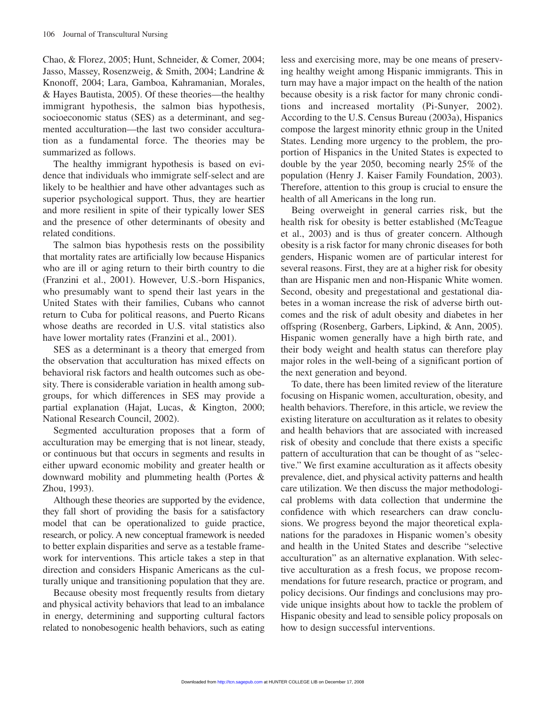Chao, & Florez, 2005; Hunt, Schneider, & Comer, 2004; Jasso, Massey, Rosenzweig, & Smith, 2004; Landrine & Knonoff, 2004; Lara, Gamboa, Kahramanian, Morales, & Hayes Bautista, 2005). Of these theories—the healthy immigrant hypothesis, the salmon bias hypothesis, socioeconomic status (SES) as a determinant, and segmented acculturation—the last two consider acculturation as a fundamental force. The theories may be summarized as follows.

The healthy immigrant hypothesis is based on evidence that individuals who immigrate self-select and are likely to be healthier and have other advantages such as superior psychological support. Thus, they are heartier and more resilient in spite of their typically lower SES and the presence of other determinants of obesity and related conditions.

The salmon bias hypothesis rests on the possibility that mortality rates are artificially low because Hispanics who are ill or aging return to their birth country to die (Franzini et al., 2001). However, U.S.-born Hispanics, who presumably want to spend their last years in the United States with their families, Cubans who cannot return to Cuba for political reasons, and Puerto Ricans whose deaths are recorded in U.S. vital statistics also have lower mortality rates (Franzini et al., 2001).

SES as a determinant is a theory that emerged from the observation that acculturation has mixed effects on behavioral risk factors and health outcomes such as obesity. There is considerable variation in health among subgroups, for which differences in SES may provide a partial explanation (Hajat, Lucas, & Kington, 2000; National Research Council, 2002).

Segmented acculturation proposes that a form of acculturation may be emerging that is not linear, steady, or continuous but that occurs in segments and results in either upward economic mobility and greater health or downward mobility and plummeting health (Portes & Zhou, 1993).

Although these theories are supported by the evidence, they fall short of providing the basis for a satisfactory model that can be operationalized to guide practice, research, or policy. A new conceptual framework is needed to better explain disparities and serve as a testable framework for interventions. This article takes a step in that direction and considers Hispanic Americans as the culturally unique and transitioning population that they are.

Because obesity most frequently results from dietary and physical activity behaviors that lead to an imbalance in energy, determining and supporting cultural factors related to nonobesogenic health behaviors, such as eating less and exercising more, may be one means of preserving healthy weight among Hispanic immigrants. This in turn may have a major impact on the health of the nation because obesity is a risk factor for many chronic conditions and increased mortality (Pi-Sunyer, 2002). According to the U.S. Census Bureau (2003a), Hispanics compose the largest minority ethnic group in the United States. Lending more urgency to the problem, the proportion of Hispanics in the United States is expected to double by the year 2050, becoming nearly 25% of the population (Henry J. Kaiser Family Foundation, 2003). Therefore, attention to this group is crucial to ensure the health of all Americans in the long run.

Being overweight in general carries risk, but the health risk for obesity is better established (McTeague et al., 2003) and is thus of greater concern. Although obesity is a risk factor for many chronic diseases for both genders, Hispanic women are of particular interest for several reasons. First, they are at a higher risk for obesity than are Hispanic men and non-Hispanic White women. Second, obesity and pregestational and gestational diabetes in a woman increase the risk of adverse birth outcomes and the risk of adult obesity and diabetes in her offspring (Rosenberg, Garbers, Lipkind, & Ann, 2005). Hispanic women generally have a high birth rate, and their body weight and health status can therefore play major roles in the well-being of a significant portion of the next generation and beyond.

To date, there has been limited review of the literature focusing on Hispanic women, acculturation, obesity, and health behaviors. Therefore, in this article, we review the existing literature on acculturation as it relates to obesity and health behaviors that are associated with increased risk of obesity and conclude that there exists a specific pattern of acculturation that can be thought of as "selective." We first examine acculturation as it affects obesity prevalence, diet, and physical activity patterns and health care utilization. We then discuss the major methodological problems with data collection that undermine the confidence with which researchers can draw conclusions. We progress beyond the major theoretical explanations for the paradoxes in Hispanic women's obesity and health in the United States and describe "selective acculturation" as an alternative explanation. With selective acculturation as a fresh focus, we propose recommendations for future research, practice or program, and policy decisions. Our findings and conclusions may provide unique insights about how to tackle the problem of Hispanic obesity and lead to sensible policy proposals on how to design successful interventions.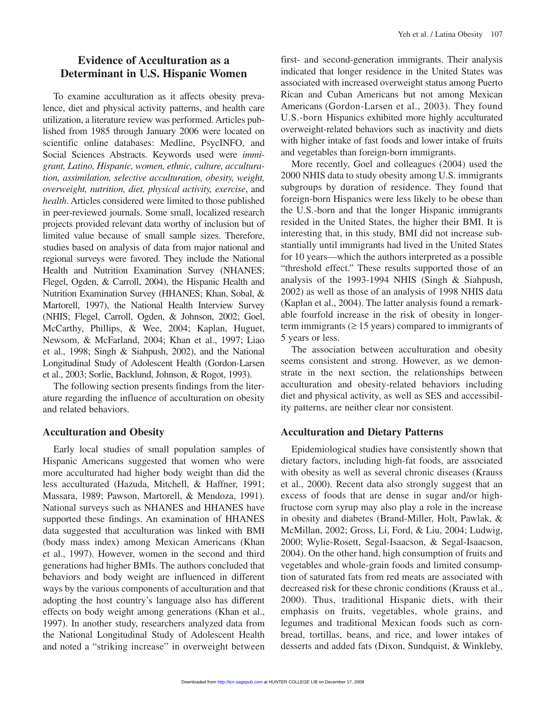#### **Evidence of Acculturation as a Determinant in U.S. Hispanic Women**

To examine acculturation as it affects obesity prevalence, diet and physical activity patterns, and health care utilization, a literature review was performed. Articles published from 1985 through January 2006 were located on scientific online databases: Medline, PsycINFO, and Social Sciences Abstracts. Keywords used were *immigrant, Latino, Hispanic, women, ethnic, culture, acculturation, assimilation, selective acculturation, obesity, weight, overweight, nutrition, diet, physical activity, exercise*, and *health*. Articles considered were limited to those published in peer-reviewed journals. Some small, localized research projects provided relevant data worthy of inclusion but of limited value because of small sample sizes. Therefore, studies based on analysis of data from major national and regional surveys were favored. They include the National Health and Nutrition Examination Survey (NHANES; Flegel, Ogden, & Carroll, 2004), the Hispanic Health and Nutrition Examination Survey (HHANES; Khan, Sobal, & Martorell, 1997), the National Health Interview Survey (NHIS; Flegel, Carroll, Ogden, & Johnson, 2002; Goel, McCarthy, Phillips, & Wee, 2004; Kaplan, Huguet, Newsom, & McFarland, 2004; Khan et al., 1997; Liao et al., 1998; Singh & Siahpush, 2002), and the National Longitudinal Study of Adolescent Health (Gordon-Larsen et al., 2003; Sorlie, Backlund, Johnson, & Rogot, 1993).

The following section presents findings from the literature regarding the influence of acculturation on obesity and related behaviors.

#### **Acculturation and Obesity**

Early local studies of small population samples of Hispanic Americans suggested that women who were more acculturated had higher body weight than did the less acculturated (Hazuda, Mitchell, & Haffner, 1991; Massara, 1989; Pawson, Martorell, & Mendoza, 1991). National surveys such as NHANES and HHANES have supported these findings. An examination of HHANES data suggested that acculturation was linked with BMI (body mass index) among Mexican Americans (Khan et al., 1997). However, women in the second and third generations had higher BMIs. The authors concluded that behaviors and body weight are influenced in different ways by the various components of acculturation and that adopting the host country's language also has different effects on body weight among generations (Khan et al., 1997). In another study, researchers analyzed data from the National Longitudinal Study of Adolescent Health and noted a "striking increase" in overweight between first- and second-generation immigrants. Their analysis indicated that longer residence in the United States was associated with increased overweight status among Puerto Rican and Cuban Americans but not among Mexican Americans (Gordon-Larsen et al., 2003). They found U.S.-born Hispanics exhibited more highly acculturated overweight-related behaviors such as inactivity and diets with higher intake of fast foods and lower intake of fruits and vegetables than foreign-born immigrants.

More recently, Goel and colleagues (2004) used the 2000 NHIS data to study obesity among U.S. immigrants subgroups by duration of residence. They found that foreign-born Hispanics were less likely to be obese than the U.S.-born and that the longer Hispanic immigrants resided in the United States, the higher their BMI. It is interesting that, in this study, BMI did not increase substantially until immigrants had lived in the United States for 10 years—which the authors interpreted as a possible "threshold effect." These results supported those of an analysis of the 1993-1994 NHIS (Singh & Siahpush, 2002) as well as those of an analysis of 1998 NHIS data (Kaplan et al., 2004). The latter analysis found a remarkable fourfold increase in the risk of obesity in longerterm immigrants  $(≥ 15 \text{ years})$  compared to immigrants of 5 years or less.

The association between acculturation and obesity seems consistent and strong. However, as we demonstrate in the next section, the relationships between acculturation and obesity-related behaviors including diet and physical activity, as well as SES and accessibility patterns, are neither clear nor consistent.

#### **Acculturation and Dietary Patterns**

Epidemiological studies have consistently shown that dietary factors, including high-fat foods, are associated with obesity as well as several chronic diseases (Krauss et al., 2000). Recent data also strongly suggest that an excess of foods that are dense in sugar and/or highfructose corn syrup may also play a role in the increase in obesity and diabetes (Brand-Miller, Holt, Pawlak, & McMillan, 2002; Gross, Li, Ford, & Liu, 2004; Ludwig, 2000; Wylie-Rosett, Segal-Isaacson, & Segal-Isaacson, 2004). On the other hand, high consumption of fruits and vegetables and whole-grain foods and limited consumption of saturated fats from red meats are associated with decreased risk for these chronic conditions (Krauss et al., 2000). Thus, traditional Hispanic diets, with their emphasis on fruits, vegetables, whole grains, and legumes and traditional Mexican foods such as cornbread, tortillas, beans, and rice, and lower intakes of desserts and added fats (Dixon, Sundquist, & Winkleby,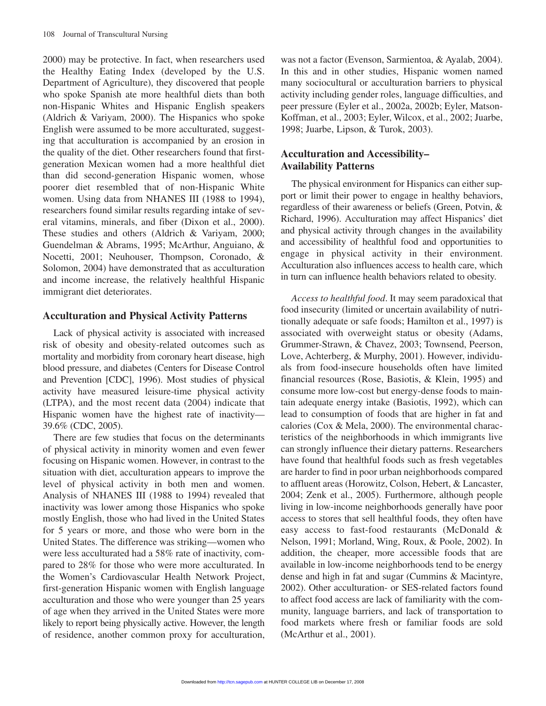2000) may be protective. In fact, when researchers used the Healthy Eating Index (developed by the U.S. Department of Agriculture), they discovered that people who spoke Spanish ate more healthful diets than both non-Hispanic Whites and Hispanic English speakers (Aldrich & Variyam, 2000). The Hispanics who spoke English were assumed to be more acculturated, suggesting that acculturation is accompanied by an erosion in the quality of the diet. Other researchers found that firstgeneration Mexican women had a more healthful diet than did second-generation Hispanic women, whose poorer diet resembled that of non-Hispanic White women. Using data from NHANES III (1988 to 1994), researchers found similar results regarding intake of several vitamins, minerals, and fiber (Dixon et al., 2000). These studies and others (Aldrich & Variyam, 2000; Guendelman & Abrams, 1995; McArthur, Anguiano, & Nocetti, 2001; Neuhouser, Thompson, Coronado, & Solomon, 2004) have demonstrated that as acculturation and income increase, the relatively healthful Hispanic immigrant diet deteriorates.

#### **Acculturation and Physical Activity Patterns**

Lack of physical activity is associated with increased risk of obesity and obesity-related outcomes such as mortality and morbidity from coronary heart disease, high blood pressure, and diabetes (Centers for Disease Control and Prevention [CDC], 1996). Most studies of physical activity have measured leisure-time physical activity (LTPA), and the most recent data (2004) indicate that Hispanic women have the highest rate of inactivity— 39.6% (CDC, 2005).

There are few studies that focus on the determinants of physical activity in minority women and even fewer focusing on Hispanic women. However, in contrast to the situation with diet, acculturation appears to improve the level of physical activity in both men and women. Analysis of NHANES III (1988 to 1994) revealed that inactivity was lower among those Hispanics who spoke mostly English, those who had lived in the United States for 5 years or more, and those who were born in the United States. The difference was striking—women who were less acculturated had a 58% rate of inactivity, compared to 28% for those who were more acculturated. In the Women's Cardiovascular Health Network Project, first-generation Hispanic women with English language acculturation and those who were younger than 25 years of age when they arrived in the United States were more likely to report being physically active. However, the length of residence, another common proxy for acculturation, was not a factor (Evenson, Sarmientoa, & Ayalab, 2004). In this and in other studies, Hispanic women named many sociocultural or acculturation barriers to physical activity including gender roles, language difficulties, and peer pressure (Eyler et al., 2002a, 2002b; Eyler, Matson-Koffman, et al., 2003; Eyler, Wilcox, et al., 2002; Juarbe, 1998; Juarbe, Lipson, & Turok, 2003).

#### **Acculturation and Accessibility– Availability Patterns**

The physical environment for Hispanics can either support or limit their power to engage in healthy behaviors, regardless of their awareness or beliefs (Green, Potvin, & Richard, 1996). Acculturation may affect Hispanics' diet and physical activity through changes in the availability and accessibility of healthful food and opportunities to engage in physical activity in their environment. Acculturation also influences access to health care, which in turn can influence health behaviors related to obesity.

*Access to healthful food*. It may seem paradoxical that food insecurity (limited or uncertain availability of nutritionally adequate or safe foods; Hamilton et al., 1997) is associated with overweight status or obesity (Adams, Grummer-Strawn, & Chavez, 2003; Townsend, Peerson, Love, Achterberg, & Murphy, 2001). However, individuals from food-insecure households often have limited financial resources (Rose, Basiotis, & Klein, 1995) and consume more low-cost but energy-dense foods to maintain adequate energy intake (Basiotis, 1992), which can lead to consumption of foods that are higher in fat and calories (Cox & Mela, 2000). The environmental characteristics of the neighborhoods in which immigrants live can strongly influence their dietary patterns. Researchers have found that healthful foods such as fresh vegetables are harder to find in poor urban neighborhoods compared to affluent areas (Horowitz, Colson, Hebert, & Lancaster, 2004; Zenk et al., 2005). Furthermore, although people living in low-income neighborhoods generally have poor access to stores that sell healthful foods, they often have easy access to fast-food restaurants (McDonald & Nelson, 1991; Morland, Wing, Roux, & Poole, 2002). In addition, the cheaper, more accessible foods that are available in low-income neighborhoods tend to be energy dense and high in fat and sugar (Cummins & Macintyre, 2002). Other acculturation- or SES-related factors found to affect food access are lack of familiarity with the community, language barriers, and lack of transportation to food markets where fresh or familiar foods are sold (McArthur et al., 2001).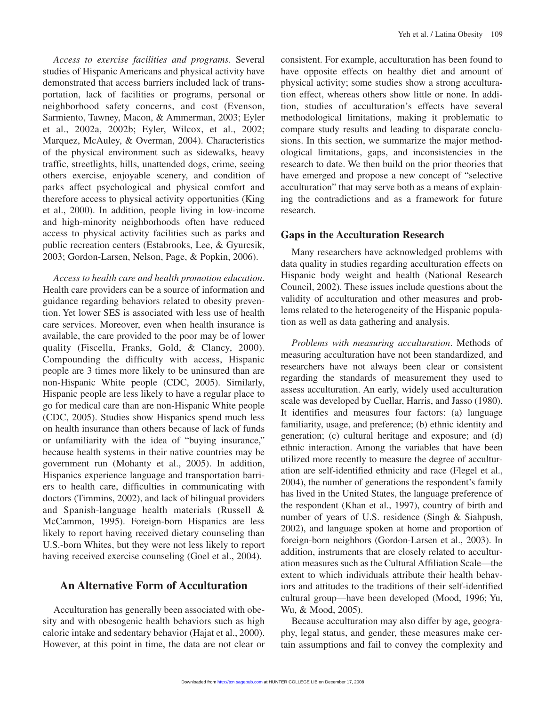*Access to exercise facilities and programs*. Several studies of Hispanic Americans and physical activity have demonstrated that access barriers included lack of transportation, lack of facilities or programs, personal or neighborhood safety concerns, and cost (Evenson, Sarmiento, Tawney, Macon, & Ammerman, 2003; Eyler et al., 2002a, 2002b; Eyler, Wilcox, et al., 2002; Marquez, McAuley, & Overman, 2004). Characteristics of the physical environment such as sidewalks, heavy traffic, streetlights, hills, unattended dogs, crime, seeing others exercise, enjoyable scenery, and condition of parks affect psychological and physical comfort and therefore access to physical activity opportunities (King et al., 2000). In addition, people living in low-income and high-minority neighborhoods often have reduced access to physical activity facilities such as parks and public recreation centers (Estabrooks, Lee, & Gyurcsik, 2003; Gordon-Larsen, Nelson, Page, & Popkin, 2006).

*Access to health care and health promotion education*. Health care providers can be a source of information and guidance regarding behaviors related to obesity prevention. Yet lower SES is associated with less use of health care services. Moreover, even when health insurance is available, the care provided to the poor may be of lower quality (Fiscella, Franks, Gold, & Clancy, 2000). Compounding the difficulty with access, Hispanic people are 3 times more likely to be uninsured than are non-Hispanic White people (CDC, 2005). Similarly, Hispanic people are less likely to have a regular place to go for medical care than are non-Hispanic White people (CDC, 2005). Studies show Hispanics spend much less on health insurance than others because of lack of funds or unfamiliarity with the idea of "buying insurance," because health systems in their native countries may be government run (Mohanty et al., 2005). In addition, Hispanics experience language and transportation barriers to health care, difficulties in communicating with doctors (Timmins, 2002), and lack of bilingual providers and Spanish-language health materials (Russell & McCammon, 1995). Foreign-born Hispanics are less likely to report having received dietary counseling than U.S.-born Whites, but they were not less likely to report having received exercise counseling (Goel et al., 2004).

#### **An Alternative Form of Acculturation**

Acculturation has generally been associated with obesity and with obesogenic health behaviors such as high caloric intake and sedentary behavior (Hajat et al., 2000). However, at this point in time, the data are not clear or consistent. For example, acculturation has been found to have opposite effects on healthy diet and amount of physical activity; some studies show a strong acculturation effect, whereas others show little or none. In addition, studies of acculturation's effects have several methodological limitations, making it problematic to compare study results and leading to disparate conclusions. In this section, we summarize the major methodological limitations, gaps, and inconsistencies in the research to date. We then build on the prior theories that have emerged and propose a new concept of "selective acculturation" that may serve both as a means of explaining the contradictions and as a framework for future research.

#### **Gaps in the Acculturation Research**

Many researchers have acknowledged problems with data quality in studies regarding acculturation effects on Hispanic body weight and health (National Research Council, 2002). These issues include questions about the validity of acculturation and other measures and problems related to the heterogeneity of the Hispanic population as well as data gathering and analysis.

*Problems with measuring acculturation*. Methods of measuring acculturation have not been standardized, and researchers have not always been clear or consistent regarding the standards of measurement they used to assess acculturation. An early, widely used acculturation scale was developed by Cuellar, Harris, and Jasso (1980). It identifies and measures four factors: (a) language familiarity, usage, and preference; (b) ethnic identity and generation; (c) cultural heritage and exposure; and (d) ethnic interaction. Among the variables that have been utilized more recently to measure the degree of acculturation are self-identified ethnicity and race (Flegel et al., 2004), the number of generations the respondent's family has lived in the United States, the language preference of the respondent (Khan et al., 1997), country of birth and number of years of U.S. residence (Singh & Siahpush, 2002), and language spoken at home and proportion of foreign-born neighbors (Gordon-Larsen et al., 2003). In addition, instruments that are closely related to acculturation measures such as the Cultural Affiliation Scale—the extent to which individuals attribute their health behaviors and attitudes to the traditions of their self-identified cultural group—have been developed (Mood, 1996; Yu, Wu, & Mood, 2005).

Because acculturation may also differ by age, geography, legal status, and gender, these measures make certain assumptions and fail to convey the complexity and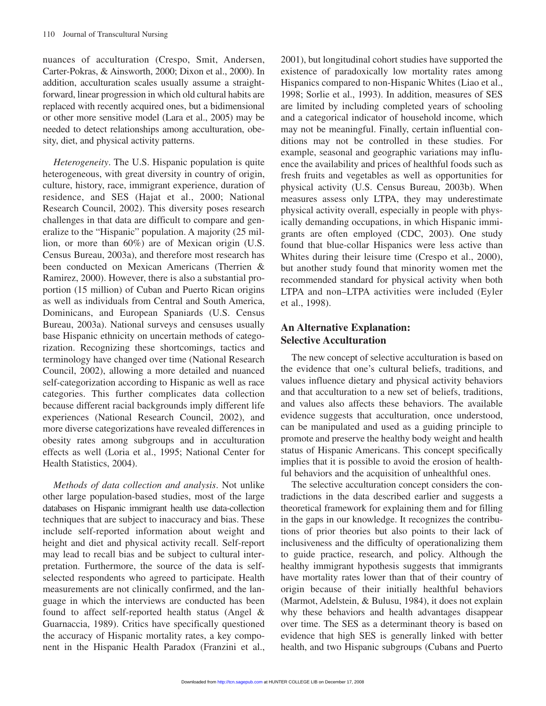nuances of acculturation (Crespo, Smit, Andersen, Carter-Pokras, & Ainsworth, 2000; Dixon et al., 2000). In addition, acculturation scales usually assume a straightforward, linear progression in which old cultural habits are replaced with recently acquired ones, but a bidimensional or other more sensitive model (Lara et al., 2005) may be needed to detect relationships among acculturation, obesity, diet, and physical activity patterns.

*Heterogeneity*. The U.S. Hispanic population is quite heterogeneous, with great diversity in country of origin, culture, history, race, immigrant experience, duration of residence, and SES (Hajat et al., 2000; National Research Council, 2002). This diversity poses research challenges in that data are difficult to compare and generalize to the "Hispanic" population. A majority (25 million, or more than 60%) are of Mexican origin (U.S. Census Bureau, 2003a), and therefore most research has been conducted on Mexican Americans (Therrien & Ramirez, 2000). However, there is also a substantial proportion (15 million) of Cuban and Puerto Rican origins as well as individuals from Central and South America, Dominicans, and European Spaniards (U.S. Census Bureau, 2003a). National surveys and censuses usually base Hispanic ethnicity on uncertain methods of categorization. Recognizing these shortcomings, tactics and terminology have changed over time (National Research Council, 2002), allowing a more detailed and nuanced self-categorization according to Hispanic as well as race categories. This further complicates data collection because different racial backgrounds imply different life experiences (National Research Council, 2002), and more diverse categorizations have revealed differences in obesity rates among subgroups and in acculturation effects as well (Loria et al., 1995; National Center for Health Statistics, 2004).

*Methods of data collection and analysis*. Not unlike other large population-based studies, most of the large databases on Hispanic immigrant health use data-collection techniques that are subject to inaccuracy and bias. These include self-reported information about weight and height and diet and physical activity recall. Self-report may lead to recall bias and be subject to cultural interpretation. Furthermore, the source of the data is selfselected respondents who agreed to participate. Health measurements are not clinically confirmed, and the language in which the interviews are conducted has been found to affect self-reported health status (Angel & Guarnaccia, 1989). Critics have specifically questioned the accuracy of Hispanic mortality rates, a key component in the Hispanic Health Paradox (Franzini et al., 2001), but longitudinal cohort studies have supported the existence of paradoxically low mortality rates among Hispanics compared to non-Hispanic Whites (Liao et al., 1998; Sorlie et al., 1993). In addition, measures of SES are limited by including completed years of schooling and a categorical indicator of household income, which may not be meaningful. Finally, certain influential conditions may not be controlled in these studies. For example, seasonal and geographic variations may influence the availability and prices of healthful foods such as fresh fruits and vegetables as well as opportunities for physical activity (U.S. Census Bureau, 2003b). When measures assess only LTPA, they may underestimate physical activity overall, especially in people with physically demanding occupations, in which Hispanic immigrants are often employed (CDC, 2003). One study found that blue-collar Hispanics were less active than Whites during their leisure time (Crespo et al., 2000), but another study found that minority women met the recommended standard for physical activity when both LTPA and non–LTPA activities were included (Eyler et al., 1998).

#### **An Alternative Explanation: Selective Acculturation**

The new concept of selective acculturation is based on the evidence that one's cultural beliefs, traditions, and values influence dietary and physical activity behaviors and that acculturation to a new set of beliefs, traditions, and values also affects these behaviors. The available evidence suggests that acculturation, once understood, can be manipulated and used as a guiding principle to promote and preserve the healthy body weight and health status of Hispanic Americans. This concept specifically implies that it is possible to avoid the erosion of healthful behaviors and the acquisition of unhealthful ones.

The selective acculturation concept considers the contradictions in the data described earlier and suggests a theoretical framework for explaining them and for filling in the gaps in our knowledge. It recognizes the contributions of prior theories but also points to their lack of inclusiveness and the difficulty of operationalizing them to guide practice, research, and policy. Although the healthy immigrant hypothesis suggests that immigrants have mortality rates lower than that of their country of origin because of their initially healthful behaviors (Marmot, Adelstein, & Bulusu, 1984), it does not explain why these behaviors and health advantages disappear over time. The SES as a determinant theory is based on evidence that high SES is generally linked with better health, and two Hispanic subgroups (Cubans and Puerto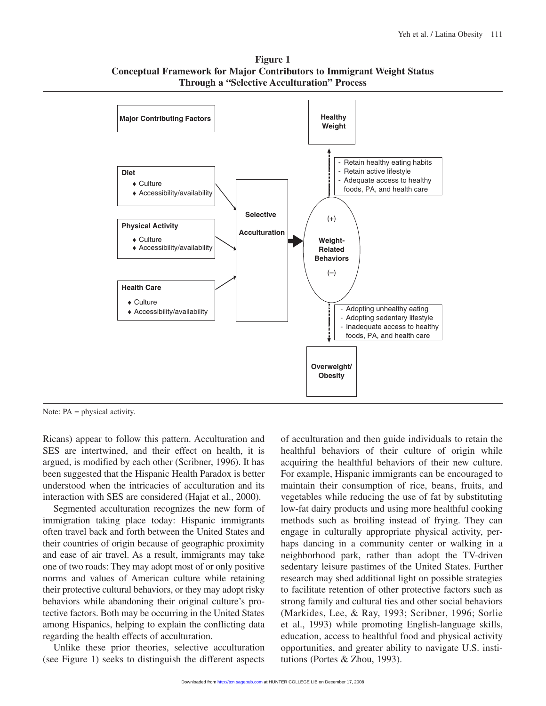**Figure 1 Conceptual Framework for Major Contributors to Immigrant Weight Status Through a "Selective Acculturation" Process**



Note: PA = physical activity.

Ricans) appear to follow this pattern. Acculturation and SES are intertwined, and their effect on health, it is argued, is modified by each other (Scribner, 1996). It has been suggested that the Hispanic Health Paradox is better understood when the intricacies of acculturation and its interaction with SES are considered (Hajat et al., 2000).

Segmented acculturation recognizes the new form of immigration taking place today: Hispanic immigrants often travel back and forth between the United States and their countries of origin because of geographic proximity and ease of air travel. As a result, immigrants may take one of two roads: They may adopt most of or only positive norms and values of American culture while retaining their protective cultural behaviors, or they may adopt risky behaviors while abandoning their original culture's protective factors. Both may be occurring in the United States among Hispanics, helping to explain the conflicting data regarding the health effects of acculturation.

Unlike these prior theories, selective acculturation (see Figure 1) seeks to distinguish the different aspects of acculturation and then guide individuals to retain the healthful behaviors of their culture of origin while acquiring the healthful behaviors of their new culture. For example, Hispanic immigrants can be encouraged to maintain their consumption of rice, beans, fruits, and vegetables while reducing the use of fat by substituting low-fat dairy products and using more healthful cooking methods such as broiling instead of frying. They can engage in culturally appropriate physical activity, perhaps dancing in a community center or walking in a neighborhood park, rather than adopt the TV-driven sedentary leisure pastimes of the United States. Further research may shed additional light on possible strategies to facilitate retention of other protective factors such as strong family and cultural ties and other social behaviors (Markides, Lee, & Ray, 1993; Scribner, 1996; Sorlie et al., 1993) while promoting English-language skills, education, access to healthful food and physical activity opportunities, and greater ability to navigate U.S. institutions (Portes & Zhou, 1993).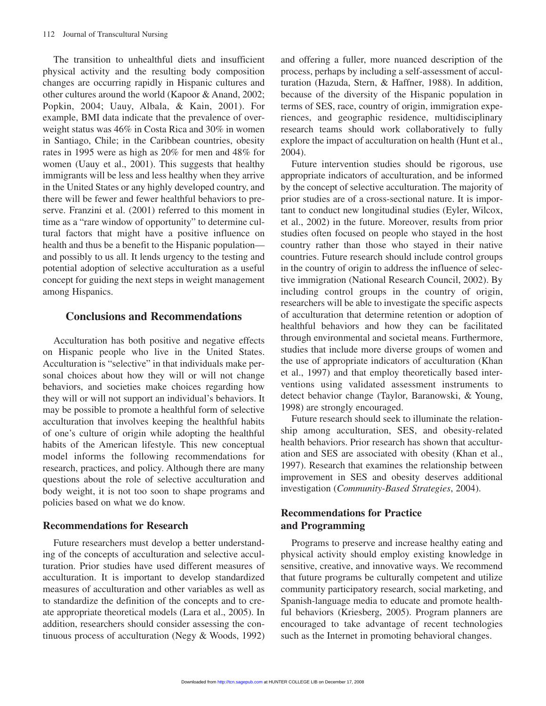The transition to unhealthful diets and insufficient physical activity and the resulting body composition changes are occurring rapidly in Hispanic cultures and other cultures around the world (Kapoor & Anand, 2002; Popkin, 2004; Uauy, Albala, & Kain, 2001). For example, BMI data indicate that the prevalence of overweight status was 46% in Costa Rica and 30% in women in Santiago, Chile; in the Caribbean countries, obesity rates in 1995 were as high as 20% for men and 48% for women (Uauy et al., 2001). This suggests that healthy immigrants will be less and less healthy when they arrive in the United States or any highly developed country, and there will be fewer and fewer healthful behaviors to preserve. Franzini et al. (2001) referred to this moment in time as a "rare window of opportunity" to determine cultural factors that might have a positive influence on health and thus be a benefit to the Hispanic population and possibly to us all. It lends urgency to the testing and potential adoption of selective acculturation as a useful concept for guiding the next steps in weight management among Hispanics.

#### **Conclusions and Recommendations**

Acculturation has both positive and negative effects on Hispanic people who live in the United States. Acculturation is "selective" in that individuals make personal choices about how they will or will not change behaviors, and societies make choices regarding how they will or will not support an individual's behaviors. It may be possible to promote a healthful form of selective acculturation that involves keeping the healthful habits of one's culture of origin while adopting the healthful habits of the American lifestyle. This new conceptual model informs the following recommendations for research, practices, and policy. Although there are many questions about the role of selective acculturation and body weight, it is not too soon to shape programs and policies based on what we do know.

#### **Recommendations for Research**

Future researchers must develop a better understanding of the concepts of acculturation and selective acculturation. Prior studies have used different measures of acculturation. It is important to develop standardized measures of acculturation and other variables as well as to standardize the definition of the concepts and to create appropriate theoretical models (Lara et al., 2005). In addition, researchers should consider assessing the continuous process of acculturation (Negy & Woods, 1992)

and offering a fuller, more nuanced description of the process, perhaps by including a self-assessment of acculturation (Hazuda, Stern, & Haffner, 1988). In addition, because of the diversity of the Hispanic population in terms of SES, race, country of origin, immigration experiences, and geographic residence, multidisciplinary research teams should work collaboratively to fully explore the impact of acculturation on health (Hunt et al., 2004).

Future intervention studies should be rigorous, use appropriate indicators of acculturation, and be informed by the concept of selective acculturation. The majority of prior studies are of a cross-sectional nature. It is important to conduct new longitudinal studies (Eyler, Wilcox, et al., 2002) in the future. Moreover, results from prior studies often focused on people who stayed in the host country rather than those who stayed in their native countries. Future research should include control groups in the country of origin to address the influence of selective immigration (National Research Council, 2002). By including control groups in the country of origin, researchers will be able to investigate the specific aspects of acculturation that determine retention or adoption of healthful behaviors and how they can be facilitated through environmental and societal means. Furthermore, studies that include more diverse groups of women and the use of appropriate indicators of acculturation (Khan et al., 1997) and that employ theoretically based interventions using validated assessment instruments to detect behavior change (Taylor, Baranowski, & Young, 1998) are strongly encouraged.

Future research should seek to illuminate the relationship among acculturation, SES, and obesity-related health behaviors. Prior research has shown that acculturation and SES are associated with obesity (Khan et al., 1997). Research that examines the relationship between improvement in SES and obesity deserves additional investigation (*Community-Based Strategies*, 2004).

#### **Recommendations for Practice and Programming**

Programs to preserve and increase healthy eating and physical activity should employ existing knowledge in sensitive, creative, and innovative ways. We recommend that future programs be culturally competent and utilize community participatory research, social marketing, and Spanish-language media to educate and promote healthful behaviors (Kriesberg, 2005). Program planners are encouraged to take advantage of recent technologies such as the Internet in promoting behavioral changes.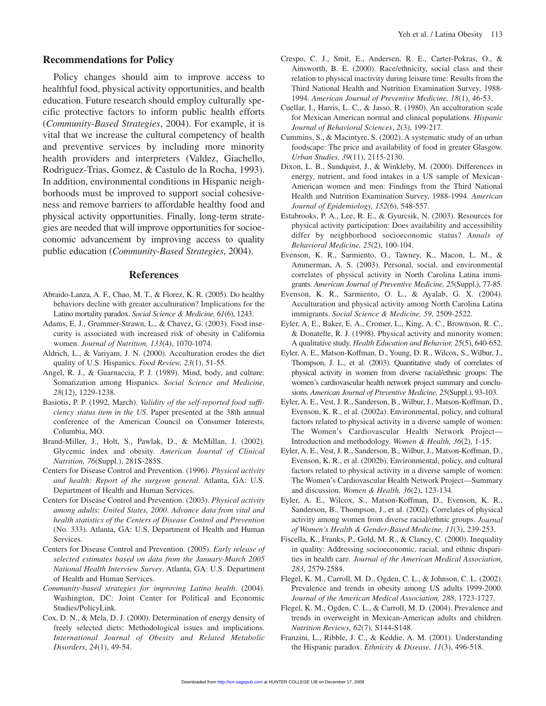#### **Recommendations for Policy**

Policy changes should aim to improve access to healthful food, physical activity opportunities, and health education. Future research should employ culturally specific protective factors to inform public health efforts (*Community-Based Strategies*, 2004). For example, it is vital that we increase the cultural competency of health and preventive services by including more minority health providers and interpreters (Valdez, Giachello, Rodriguez-Trias, Gomez, & Castulo de la Rocha, 1993). In addition, environmental conditions in Hispanic neighborhoods must be improved to support social cohesiveness and remove barriers to affordable healthy food and physical activity opportunities. Finally, long-term strategies are needed that will improve opportunities for socioeconomic advancement by improving access to quality public education (*Community-Based Strategies*, 2004).

#### **References**

- Abraido-Lanza, A. F., Chao, M. T., & Florez, K. R. (2005). Do healthy behaviors decline with greater acculturation? Implications for the Latino mortality paradox. *Social Science & Medicine, 61*(6), 1243.
- Adams, E. J., Grummer-Strawn, L., & Chavez, G. (2003). Food insecurity is associated with increased risk of obesity in California women. *Journal of Nutrition, 133*(4), 1070-1074.
- Aldrich, L., & Variyam, J. N. (2000). Acculturation erodes the diet quality of U.S. Hispanics. *Food Review, 23*(1), 51-55.
- Angel, R. J., & Guarnaccia, P. J. (1989). Mind, body, and culture: Somatization among Hispanics. *Social Science and Medicine, 28*(12), 1229-1238.
- Basiotis, P. P. (1992, March). *Validity of the self-reported food sufficiency status item in the US*. Paper presented at the 38th annual conference of the American Council on Consumer Interests, Columbia, MO.
- Brand-Miller, J., Holt, S., Pawlak, D., & McMillan, J. (2002). Glycemic index and obesity. *American Journal of Clinical Nutrition, 76*(Suppl.), 281S-285S.
- Centers for Disease Control and Prevention. (1996). *Physical activity and health: Report of the surgeon general.* Atlanta, GA: U.S. Department of Health and Human Services.
- Centers for Disease Control and Prevention. (2003). *Physical activity among adults: United States, 2000*. *Advance data from vital and health statistics of the Centers of Disease Control and Prevention* (No. 333). Atlanta, GA: U.S. Department of Health and Human Services.
- Centers for Disease Control and Prevention. (2005). *Early release of selected estimates based on data from the January-March 2005 National Health Interview Survey*. Atlanta, GA: U.S. Department of Health and Human Services.
- *Community-based strategies for improving Latino health*. (2004). Washington, DC: Joint Center for Political and Economic Studies/PolicyLink.
- Cox, D. N., & Mela, D. J. (2000). Determination of energy density of freely selected diets: Methodological issues and implications. *International Journal of Obesity and Related Metabolic Disorders*, *24*(1), 49-54.
- Crespo, C. J., Smit, E., Andersen, R. E., Carter-Pokras, O., & Ainsworth, B. E. (2000). Race/ethnicity, social class and their relation to physical inactivity during leisure time: Results from the Third National Health and Nutrition Examination Survey, 1988- 1994. *American Journal of Preventive Medicine, 18*(1), 46-53.
- Cuellar, I., Harris, L. C., & Jasso, R. (1980). An acculturation scale for Mexican American normal and clinical populations. *Hispanic Journal of Behavioral Sciences*, *2*(3), 199-217.
- Cummins, S., & Macintyre, S. (2002). A systematic study of an urban foodscape: The price and availability of food in greater Glasgow. *Urban Studies, 39*(11), 2115-2130.
- Dixon, L. B., Sundquist, J., & Winkleby, M. (2000). Differences in energy, nutrient, and food intakes in a US sample of Mexican-American women and men: Findings from the Third National Health and Nutrition Examination Survey, 1988-1994. *American Journal of Epidemiology, 152*(6), 548-557.
- Estabrooks, P. A., Lee, R. E., & Gyurcsik, N. (2003). Resources for physical activity participation: Does availability and accessibility differ by neighborhood socioeconomic status? *Annals of Behavioral Medicine, 25*(2), 100-104.
- Evenson, K. R., Sarmiento, O., Tawney, K., Macon, L. M., & Ammerman, A. S. (2003). Personal, social, and environmental correlates of physical activity in North Carolina Latina immigrants. *American Journal of Preventive Medicine, 25*(Suppl.), 77-85.
- Evenson, K. R., Sarmiento, O. L., & Ayalab, G. X. (2004). Acculturation and physical activity among North Carolina Latina immigrants. *Social Science & Medicine, 59*, 2509-2522.
- Eyler, A. E., Baker, E. A., Cromer, L., King, A. C., Brownson, R. C., & Donatelle, R. J. (1998). Physical activity and minority women: A qualitative study. *Health Education and Behavior, 25*(5), 640-652.
- Eyler, A. E., Matson-Koffman, D., Young, D. R., Wilcox, S., Wilbur, J., Thompson, J. L., et al. (2003). Quantitative study of correlates of physical activity in women from diverse racial/ethnic groups: The women's cardiovascular health network project summary and conclusions. *American Journal of Preventive Medicine, 25*(Suppl.), 93-103.
- Eyler, A. E., Vest, J. R., Sanderson, B., Wilbur, J., Matson-Koffman, D., Evenson, K. R., et al. (2002a). Environmental, policy, and cultural factors related to physical activity in a diverse sample of women: The Women's Cardiovascular Health Network Project— Introduction and methodology. *Women & Health, 36*(2), 1-15.
- Eyler, A. E., Vest, J. R., Sanderson, B., Wilbur, J., Matson-Koffman, D., Evenson, K. R., et al. (2002b). Environmental, policy, and cultural factors related to physical activity in a diverse sample of women: The Women's Cardiovascular Health Network Project—Summary and discussion. *Women & Health, 36*(2), 123-134.
- Eyler, A. E., Wilcox, S., Matson-Koffman, D., Evenson, K. R., Sanderson, B., Thompson, J., et al. (2002). Correlates of physical activity among women from diverse racial/ethnic groups. *Journal of Women's Health & Gender-Based Medicine, 11*(3), 239-253.
- Fiscella, K., Franks, P., Gold, M. R., & Clancy, C. (2000). Inequality in quality: Addressing socioeconomic, racial, and ethnic disparities in health care. *Journal of the American Medical Association, 283*, 2579-2584.
- Flegel, K. M., Carroll, M. D., Ogden, C. L., & Johnson, C. L. (2002). Prevalence and trends in obesity among US adults 1999-2000. *Journal of the American Medical Association, 288*, 1723-1727.
- Flegel, K. M., Ogden, C. L., & Carroll, M. D. (2004). Prevalence and trends in overweight in Mexican-American adults and children. *Nutrition Reviews, 62*(7), S144-S148.
- Franzini, L., Ribble, J. C., & Keddie, A. M. (2001). Understanding the Hispanic paradox. *Ethnicity & Disease, 11*(3), 496-518.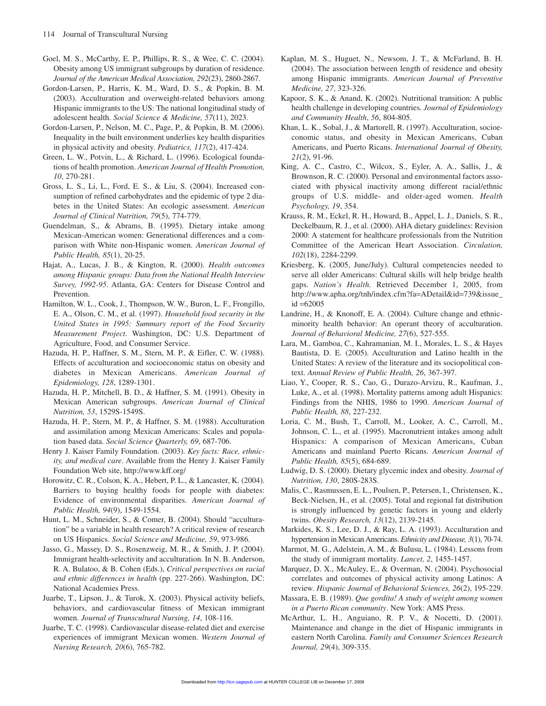- Goel, M. S., McCarthy, E. P., Phillips, R. S., & Wee, C. C. (2004). Obesity among US immigrant subgroups by duration of residence. *Journal of the American Medical Association, 292*(23), 2860-2867.
- Gordon-Larsen, P., Harris, K. M., Ward, D. S., & Popkin, B. M. (2003). Acculturation and overweight-related behaviors among Hispanic immigrants to the US: The national longitudinal study of adolescent health. *Social Science & Medicine, 57*(11), 2023.
- Gordon-Larsen, P., Nelson, M. C., Page, P., & Popkin, B. M. (2006). Inequality in the built environment underlies key health disparities in physical activity and obesity. *Pediatrics, 117*(2), 417-424.
- Green, L. W., Potvin, L., & Richard, L. (1996). Ecological foundations of health promotion. *American Journal of Health Promotion, 10*, 270-281.
- Gross, L. S., Li, L., Ford, E. S., & Liu, S. (2004). Increased consumption of refined carbohydrates and the epidemic of type 2 diabetes in the United States: An ecologic assessment. *American Journal of Clinical Nutrition, 79*(5), 774-779.
- Guendelman, S., & Abrams, B. (1995). Dietary intake among Mexican-American women: Generational differences and a comparison with White non-Hispanic women. *American Journal of Public Health, 85*(1), 20-25.
- Hajat, A., Lucas, J. B., & Kington, R. (2000). *Health outcomes among Hispanic groups: Data from the National Health Interview Survey, 1992-95*. Atlanta, GA: Centers for Disease Control and Prevention.
- Hamilton, W. L., Cook, J., Thompson, W. W., Buron, L. F., Frongillo, E. A., Olson, C. M., et al. (1997). *Household food security in the United States in 1995: Summary report of the Food Security Measurement Project*. Washington, DC: U.S. Department of Agriculture, Food, and Consumer Service.
- Hazuda, H. P., Haffner, S. M., Stern, M. P., & Eifler, C. W. (1988). Effects of acculturation and socioeconomic status on obesity and diabetes in Mexican Americans. *American Journal of Epidemiology, 128*, 1289-1301.
- Hazuda, H. P., Mitchell, B. D., & Haffner, S. M. (1991). Obesity in Mexican American subgroups. *American Journal of Clinical Nutrition, 53*, 1529S-1549S.
- Hazuda, H. P., Stern, M. P., & Haffner, S. M. (1988). Acculturation and assimilation among Mexican Americans: Scales and population based data. *Social Science Quarterly, 69*, 687-706.
- Henry J. Kaiser Family Foundation. (2003). *Key facts: Race, ethnicity, and medical care*. Available from the Henry J. Kaiser Family Foundation Web site, http://www.kff.org/
- Horowitz, C. R., Colson, K. A., Hebert, P. L., & Lancaster, K. (2004). Barriers to buying healthy foods for people with diabetes: Evidence of environmental disparities. *American Journal of Public Health, 94*(9), 1549-1554.
- Hunt, L. M., Schneider, S., & Comer, B. (2004). Should "acculturation" be a variable in health research? A critical review of research on US Hispanics. *Social Science and Medicine, 59*, 973-986.
- Jasso, G., Massey, D. S., Rosenzweig, M. R., & Smith, J. P. (2004). Immigrant health-selectivity and acculturation. In N. B. Anderson, R. A. Bulatoo, & B. Cohen (Eds.), *Critical perspectives on racial and ethnic differences in health* (pp. 227-266). Washington, DC: National Academies Press.
- Juarbe, T., Lipson, J., & Turok, X. (2003). Physical activity beliefs, behaviors, and cardiovascular fitness of Mexican immigrant women. *Journal of Transcultural Nursing, 14*, 108-116.
- Juarbe, T. C. (1998). Cardiovascular disease-related diet and exercise experiences of immigrant Mexican women. *Western Journal of Nursing Research, 20*(6), 765-782.
- Kaplan, M. S., Huguet, N., Newsom, J. T., & McFarland, B. H. (2004). The association between length of residence and obesity among Hispanic immigrants. *American Journal of Preventive Medicine, 27*, 323-326.
- Kapoor, S. K., & Anand, K. (2002). Nutritional transition: A public health challenge in developing countries. *Journal of Epidemiology and Community Health*, *56*, 804-805.
- Khan, L. K., Sobal, J., & Martorell, R. (1997). Acculturation, socioeconomic status, and obesity in Mexican Americans, Cuban Americans, and Puerto Ricans. *International Journal of Obesity, 21*(2), 91-96.
- King, A. C., Castro, C., Wilcox, S., Eyler, A. A., Sallis, J., & Brownson, R. C. (2000). Personal and environmental factors associated with physical inactivity among different racial/ethnic groups of U.S. middle- and older-aged women. *Health Psychology, 19*, 354.
- Krauss, R. M., Eckel, R. H., Howard, B., Appel, L. J., Daniels, S. R., Deckelbaum, R. J., et al. (2000). AHA dietary guidelines: Revision 2000: A statement for healthcare professionals from the Nutrition Committee of the American Heart Association. *Circulation, 102*(18), 2284-2299.
- Kriesberg, K. (2005, June/July). Cultural competencies needed to serve all older Americans: Cultural skills will help bridge health gaps. *Nation's Health.* Retrieved December 1, 2005, from http://www.apha.org/tnh/index.cfm?fa=ADetail&id=739&issue\_  $id = 62005$
- Landrine, H., & Knonoff, E. A. (2004). Culture change and ethnicminority health behavior: An operant theory of acculturation. *Journal of Behavioral Medicine, 27*(6), 527-555.
- Lara, M., Gamboa, C., Kahramanian, M. I., Morales, L. S., & Hayes Bautista, D. E. (2005). Acculturation and Latino health in the United States: A review of the literature and its sociopolitical context. *Annual Review of Public Health, 26*, 367-397.
- Liao, Y., Cooper, R. S., Cao, G., Durazo-Arvizu, R., Kaufman, J., Luke, A., et al. (1998). Mortality patterns among adult Hispanics: Findings from the NHIS, 1986 to 1990. *American Journal of Public Health, 88*, 227-232.
- Loria, C. M., Bush, T., Carroll, M., Looker, A. C., Carroll, M., Johnson, C. L., et al. (1995). Macronutrient intakes among adult Hispanics: A comparison of Mexican Americans, Cuban Americans and mainland Puerto Ricans. *American Journal of Public Health, 85*(5), 684-689.
- Ludwig, D. S. (2000). Dietary glycemic index and obesity. *Journal of Nutrition, 130*, 280S-283S.
- Malis, C., Rasmussen, E. L., Poulsen, P., Petersen, I., Christensen, K., Beck-Nielsen, H., et al. (2005). Total and regional fat distribution is strongly influenced by genetic factors in young and elderly twins. *Obesity Research, 13*(12), 2139-2145.
- Markides, K. S., Lee, D. J., & Ray, L. A. (1993). Acculturation and hypertension in Mexican Americans. *Ethnicity and Disease, 3*(1), 70-74.
- Marmot, M. G., Adelstein, A. M., & Bulusu, L. (1984). Lessons from the study of immigrant mortality. *Lancet, 2*, 1455-1457.
- Marquez, D. X., McAuley, E., & Overman, N. (2004). Psychosocial correlates and outcomes of physical activity among Latinos: A review. *Hispanic Journal of Behavioral Sciences, 26*(2), 195-229.
- Massara, E. B. (1989). *Que gordita! A study of weight among women in a Puerto Rican community*. New York: AMS Press.
- McArthur, L. H., Anguiano, R. P. V., & Nocetti, D. (2001). Maintenance and change in the diet of Hispanic immigrants in eastern North Carolina. *Family and Consumer Sciences Research Journal, 29*(4), 309-335.